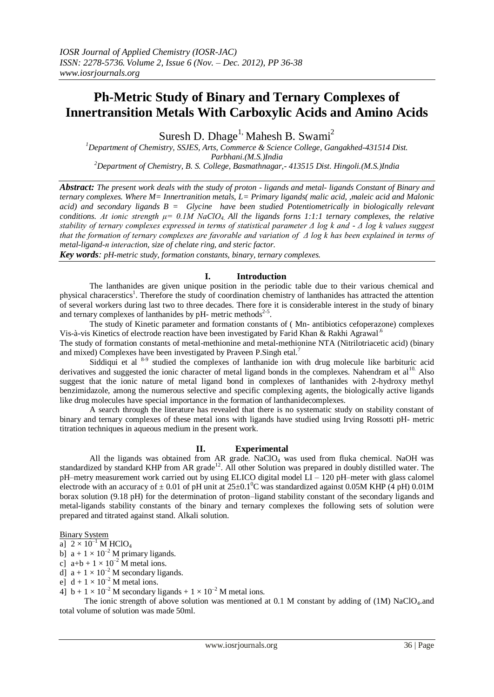# **Ph-Metric Study of Binary and Ternary Complexes of Innertransition Metals With Carboxylic Acids and Amino Acids**

Suresh D. Dhage<sup>1,</sup> Mahesh B. Swami<sup>2</sup>

*<sup>1</sup>Department of Chemistry, SSJES, Arts, Commerce & Science College, Gangakhed-431514 Dist. Parbhani.(M.S.)India <sup>2</sup>Department of Chemistry, B. S. College, Basmathnagar,- 413515 Dist. Hingoli.(M.S.)India*

*Abstract: The present work deals with the study of proton - ligands and metal- ligands Constant of Binary and ternary complexes. Where M= Innertranition metals, L= Primary ligands( malic acid, ,maleic acid and Malonic acid) and secondary ligands B = Glycine have been studied Potentiometrically in biologically relevant conditions. At ionic strength*  $\mu$  = 0.1*M* NaClO<sub>4</sub> All the ligands forms 1:1:1 ternary complexes, the relative *stability of ternary complexes expressed in terms of statistical parameter Δ log k and - Δ log k values suggest that the formation of ternary complexes are favorable and variation of Δ log k has been explained in terms of metal-ligand-п interaction, size of chelate ring, and steric factor.* 

*Key words: pH-metric study, formation constants, binary, ternary complexes.*

## **I. Introduction**

The lanthanides are given unique position in the periodic table due to their various chemical and physical characerstics<sup>1</sup>. Therefore the study of coordination chemistry of lanthanides has attracted the attention of several workers during last two to three decades. There fore it is considerable interest in the study of binary and ternary complexes of lanthanides by pH- metric methods<sup>2-5</sup>.

The study of Kinetic parameter and formation constants of ( Mn- antibiotics cefoperazone) complexes Vis-à-vis Kinetics of electrode reaction have been investigated by Farid Khan & Rakhi Agrawal<sup>6</sup>

The study of formation constants of metal-methionine and metal-methionine NTA (Nitrilotriacetic acid) (binary and mixed) Complexes have been investigated by Praveen P.Singh etal.<sup>7</sup>

Siddiqui et al <sup>8-9</sup> studied the complexes of lanthanide ion with drug molecule like barbituric acid derivatives and suggested the ionic character of metal ligand bonds in the complexes. Nahendram et al<sup>10.</sup> Also suggest that the ionic nature of metal ligand bond in complexes of lanthanides with 2-hydroxy methyl benzimidazole, among the numerous selective and specific complexing agents, the biologically active ligands like drug molecules have special importance in the formation of lanthanidecomplexes.

A search through the literature has revealed that there is no systematic study on stability constant of binary and ternary complexes of these metal ions with ligands have studied using Irving Rossotti pH- metric titration techniques in aqueous medium in the present work.

## **II. Experimental**

All the ligands was obtained from AR grade. NaClO<sup>4</sup> was used from fluka chemical. NaOH was standardized by standard KHP from AR grade<sup>12</sup>. All other Solution was prepared in doubly distilled water. The pH–metry measurement work carried out by using ELICO digital model LI – 120 pH–meter with glass calomel electrode with an accuracy of  $\pm 0.01$  of pH unit at 25 $\pm 0.1^{\circ}$ C was standardized against 0.05M KHP (4 pH) 0.01M borax solution (9.18 pH) for the determination of proton–ligand stability constant of the secondary ligands and metal-ligands stability constants of the binary and ternary complexes the following sets of solution were prepared and titrated against stand. Alkali solution.

Binary System

a]  $2 \times 10^{-1}$  M HClO<sub>4</sub>

b]  $a + 1 \times 10^{-2}$  M primary ligands.

c]  $a+b+1\times 10^{-2}$  M metal ions.

d]  $a + 1 \times 10^{-2}$  M secondary ligands.

e]  $d + 1 \times 10^{-2}$  M metal ions.

4]  $b + 1 \times 10^{-2}$  M secondary ligands +  $1 \times 10^{-2}$  M metal ions.

The ionic strength of above solution was mentioned at 0.1 M constant by adding of (1M) NaClO<sub>4</sub>.and total volume of solution was made 50ml.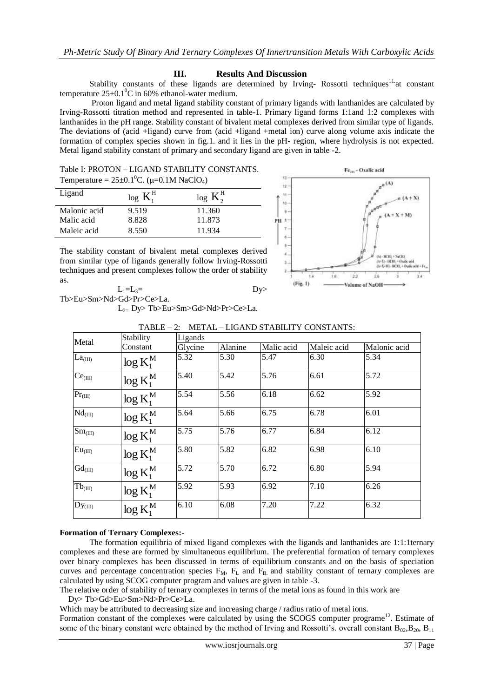## **III. Results And Discussion**

Stability constants of these ligands are determined by Irving-Rossotti techniques<sup>11</sup> at constant temperature  $25\pm0.1^{\circ}$ C in 60% ethanol-water medium.

 Proton ligand and metal ligand stability constant of primary ligands with lanthanides are calculated by Irving-Rossotti titration method and represented in table-1. Primary ligand forms 1:1and 1:2 complexes with lanthanides in the pH range. Stability constant of bivalent metal complexes derived from similar type of ligands. The deviations of (acid +ligand) curve from (acid +ligand +metal ion) curve along volume axis indicate the formation of complex species shown in fig.1. and it lies in the pH- region, where hydrolysis is not expected. Metal ligand stability constant of primary and secondary ligand are given in table -2.

| Table I: PROTON – LIGAND STABILITY CONSTANTS.<br>Temperature = $25 \pm 0.1^0$ C. ( $\mu$ =0.1M NaClO <sub>4</sub> ) |             |             |  |  |  |  |
|---------------------------------------------------------------------------------------------------------------------|-------------|-------------|--|--|--|--|
| Ligand                                                                                                              | $log K_1^H$ | $log K_2^H$ |  |  |  |  |
| Malonic acid                                                                                                        | 9.519       | 11.360      |  |  |  |  |

8.828

Maleic acid 8.550 11.934

Malic acid



The stability constant of bivalent metal complexes derived from similar type of ligands generally follow Irving-Rossotti techniques and present complexes follow the order of stability as.

 $L_1=L_3=$  Dy> Tb>Eu>Sm>Nd>Gd>Pr>Ce>La.

L2= Dy> Tb>Eu>Sm>Gd>Nd>Pr>Ce>La.

11.873

| Metal                            | Stability                 | Ligands |         |            |             |              |  |
|----------------------------------|---------------------------|---------|---------|------------|-------------|--------------|--|
|                                  | Constant                  | Glycine | Alanine | Malic acid | Maleic acid | Malonic acid |  |
| La <sub>(III)</sub>              | $\log K_1^M$              | 5.32    | 5.30    | 5.47       | 6.30        | 5.34         |  |
| Ce <sub>(III)</sub>              | $\log K_1^M$              | 5.40    | 5.42    | 5.76       | 6.61        | 5.72         |  |
| $Pr_{(III)}$                     | $\log K_1^{\text{M}}$     | 5.54    | 5.56    | 6.18       | 6.62        | 5.92         |  |
| $\overline{\text{Nd}}_{(III)}$   | $\log K_1^M$              | 5.64    | 5.66    | 6.75       | 6.78        | 6.01         |  |
| $Sm$ <sub>(III)</sub>            | $\log K_1^M$              | 5.75    | 5.76    | 6.77       | 6.84        | 6.12         |  |
| $\overline{\mathrm{Eu}}_{(III)}$ | $\log K_1^M$              | 5.80    | 5.82    | 6.82       | 6.98        | 6.10         |  |
| $\overline{\text{Gd}}_{(III)}$   | $\log K_1^M$              | 5.72    | 5.70    | 6.72       | 6.80        | 5.94         |  |
| $Tb_{(III)}$                     | $\log K_1^M$              | 5.92    | 5.93    | 6.92       | 7.10        | 6.26         |  |
| $Dy_{(III)}$                     | $\log K_1^{\overline{M}}$ | 6.10    | 6.08    | 7.20       | 7.22        | 6.32         |  |

TABLE – 2: METAL – LIGAND STABILITY CONSTANTS:

## **Formation of Ternary Complexes:-**

The formation equilibria of mixed ligand complexes with the ligands and lanthanides are 1:1:1ternary complexes and these are formed by simultaneous equilibrium. The preferential formation of ternary complexes over binary complexes has been discussed in terms of equilibrium constants and on the basis of speciation curves and percentage concentration species  $F_M$ ,  $F_L$  and  $F_B$  and stability constant of ternary complexes are calculated by using SCOG computer program and values are given in table -3.

The relative order of stability of ternary complexes in terms of the metal ions as found in this work are

Dy> Tb>Gd>Eu>Sm>Nd>Pr>Ce>La.

Which may be attributed to decreasing size and increasing charge / radius ratio of metal ions.

Formation constant of the complexes were calculated by using the SCOGS computer programe<sup>12</sup>. Estimate of some of the binary constant were obtained by the method of Irving and Rossotti's. overall constant  $B_{02}, B_{20}, B_{11}$